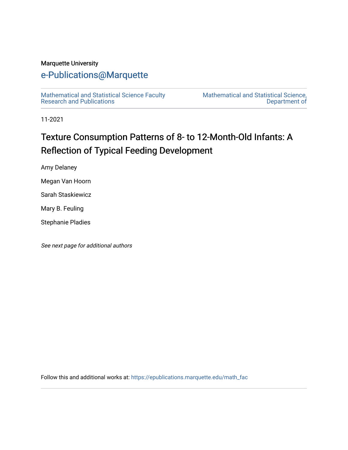#### Marquette University

# [e-Publications@Marquette](https://epublications.marquette.edu/)

[Mathematical and Statistical Science Faculty](https://epublications.marquette.edu/math_fac)  [Research and Publications](https://epublications.marquette.edu/math_fac) 

[Mathematical and Statistical Science,](https://epublications.marquette.edu/math)  [Department of](https://epublications.marquette.edu/math) 

11-2021

# Texture Consumption Patterns of 8- to 12-Month-Old Infants: A Reflection of Typical Feeding Development

Amy Delaney

Megan Van Hoorn

Sarah Staskiewicz

Mary B. Feuling

Stephanie Pladies

See next page for additional authors

Follow this and additional works at: [https://epublications.marquette.edu/math\\_fac](https://epublications.marquette.edu/math_fac?utm_source=epublications.marquette.edu%2Fmath_fac%2F80&utm_medium=PDF&utm_campaign=PDFCoverPages)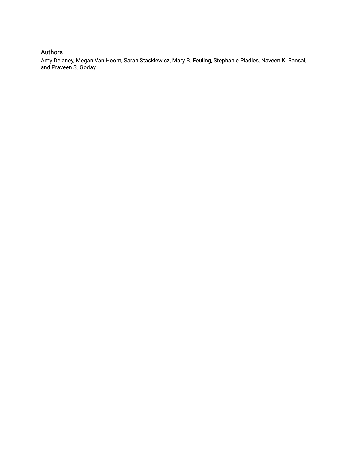#### Authors

Amy Delaney, Megan Van Hoorn, Sarah Staskiewicz, Mary B. Feuling, Stephanie Pladies, Naveen K. Bansal, and Praveen S. Goday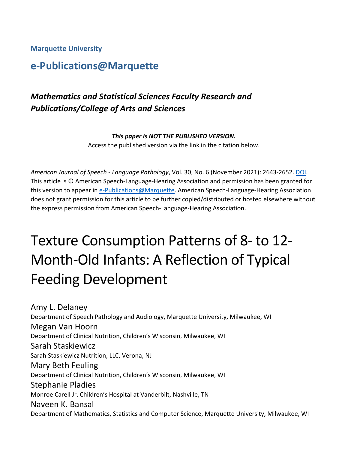**Marquette University**

# **e-Publications@Marquette**

# *Mathematics and Statistical Sciences Faculty Research and Publications/College of Arts and Sciences*

*This paper is NOT THE PUBLISHED VERSION***.** 

Access the published version via the link in the citation below.

*American Journal of Speech - Language Pathology*, Vol. 30, No. 6 (November 2021): 2643-2652. [DOI.](http://dx.doi.org/10.1044/2021_AJSLP-21-00048) This article is © American Speech-Language-Hearing Association and permission has been granted for this version to appear i[n e-Publications@Marquette.](http://epublications.marquette.edu/) American Speech-Language-Hearing Association does not grant permission for this article to be further copied/distributed or hosted elsewhere without the express permission from American Speech-Language-Hearing Association.

# Texture Consumption Patterns of 8- to 12- Month-Old Infants: A Reflection of Typical Feeding Development

Amy L. Delaney Department of Speech Pathology and Audiology, Marquette University, Milwaukee, WI Megan Van Hoorn Department of Clinical Nutrition, Children's Wisconsin, Milwaukee, WI Sarah Staskiewicz Sarah Staskiewicz Nutrition, LLC, Verona, NJ Mary Beth Feuling Department of Clinical Nutrition, Children's Wisconsin, Milwaukee, WI Stephanie Pladies Monroe Carell Jr. Children's Hospital at Vanderbilt, Nashville, TN Naveen K. Bansal Department of Mathematics, Statistics and Computer Science, Marquette University, Milwaukee, WI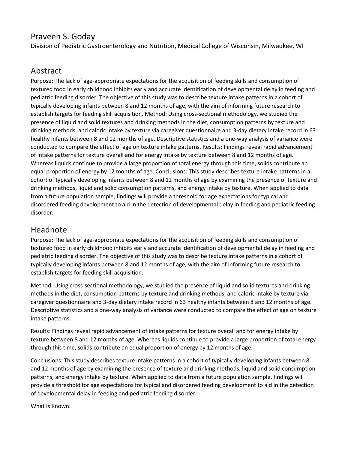# Praveen S. Goday

Division of Pediatric Gastroenterology and Nutrition, Medical College of Wisconsin, Milwaukee, WI

# Abstract

Purpose: The lack of age-appropriate expectations for the acquisition of feeding skills and consumption of textured food in early childhood inhibits early and accurate identification of developmental delay in feeding and pediatric feeding disorder. The objective of this study was to describe texture intake patterns in a cohort of typically developing infants between 8 and 12 months of age, with the aim of informing future research to establish targets for feeding skill acquisition. Method: Using cross-sectional methodology, we studied the presence of liquid and solid textures and drinking methods in the diet, consumption patterns by texture and drinking methods, and caloric intake by texture via caregiver questionnaire and 3-day dietary intake record in 63 healthy infants between 8 and 12 months of age. Descriptive statistics and a one-way analysis of variance were conducted to compare the effect of age on texture intake patterns. Results: Findings reveal rapid advancement of intake patterns for texture overall and for energy intake by texture between 8 and 12 months of age. Whereas liquids continue to provide a large proportion of total energy through this time, solids contribute an equal proportion of energy by 12 months of age. Conclusions: This study describes texture intake patterns in a cohort of typically developing infants between 8 and 12 months of age by examining the presence of texture and drinking methods, liquid and solid consumption patterns, and energy intake by texture. When applied to data from a future population sample, findings will provide a threshold for age expectations for typical and disordered feeding development to aid in the detection of developmental delay in feeding and pediatric feeding disorder.

# Headnote

Purpose: The lack of age-appropriate expectations for the acquisition of feeding skills and consumption of textured food in early childhood inhibits early and accurate identification of developmental delay in feeding and pediatric feeding disorder. The objective of this study was to describe texture intake patterns in a cohort of typically developing infants between 8 and 12 months of age, with the aim of informing future research to establish targets for feeding skill acquisition.

Method: Using cross-sectional methodology, we studied the presence of liquid and solid textures and drinking methods in the diet, consumption patterns by texture and drinking methods, and caloric intake by texture via caregiver questionnaire and 3-day dietary intake record in 63 healthy infants between 8 and 12 months of age. Descriptive statistics and a one-way analysis of variance were conducted to compare the effect of age on texture intake patterns.

Results: Findings reveal rapid advancement of intake patterns for texture overall and for energy intake by texture between 8 and 12 months of age. Whereas liquids continue to provide a large proportion of total energy through this time, solids contribute an equal proportion of energy by 12 months of age.

Conclusions: This study describes texture intake patterns in a cohort of typically developing infants between 8 and 12 months of age by examining the presence of texture and drinking methods, liquid and solid consumption patterns, and energy intake by texture. When applied to data from a future population sample, findings will provide a threshold for age expectations for typical and disordered feeding development to aid in the detection of developmental delay in feeding and pediatric feeding disorder.

What Is Known: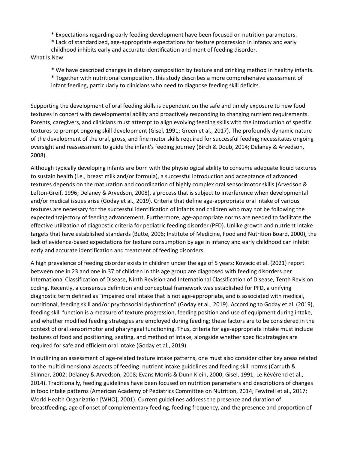\* Expectations regarding early feeding development have been focused on nutrition parameters.

\* Lack of standardized, age-appropriate expectations for texture progression in infancy and early

childhood inhibits early and accurate identification and ment of feeding disorder.

What Is New:

\* We have described changes in dietary composition by texture and drinking method in healthy infants.

\* Together with nutritional composition, this study describes a more comprehensive assessment of infant feeding, particularly to clinicians who need to diagnose feeding skill deficits.

Supporting the development of oral feeding skills is dependent on the safe and timely exposure to new food textures in concert with developmental ability and proactively responding to changing nutrient requirements. Parents, caregivers, and clinicians must attempt to align evolving feeding skills with the introduction of specific textures to prompt ongoing skill development (Gisel, 1991; Green et al., 2017). The profoundly dynamic nature of the development of the oral, gross, and fine motor skills required for successful feeding necessitates ongoing oversight and reassessment to guide the infant's feeding journey (Birch & Doub, 2014; Delaney & Arvedson, 2008).

Although typically developing infants are born with the physiological ability to consume adequate liquid textures to sustain health (i.e., breast milk and/or formula), a successful introduction and acceptance of advanced textures depends on the maturation and coordination of highly complex oral sensorimotor skills (Arvedson & Lefton-Greif, 1996; Delaney & Arvedson, 2008), a process that is subject to interference when developmental and/or medical issues arise (Goday et al., 2019). Criteria that define age-appropriate oral intake of various textures are necessary for the successful identification of infants and children who may not be following the expected trajectory of feeding advancement. Furthermore, age-appropriate norms are needed to facilitate the effective utilization of diagnostic criteria for pediatric feeding disorder (PFD). Unlike growth and nutrient intake targets that have established standards (Butte, 2006; Institute of Medicine, Food and Nutrition Board, 2000), the lack of evidence-based expectations for texture consumption by age in infancy and early childhood can inhibit early and accurate identification and treatment of feeding disorders.

A high prevalence of feeding disorder exists in children under the age of 5 years: Kovacic et al. (2021) report between one in 23 and one in 37 of children in this age group are diagnosed with feeding disorders per International Classification of Disease, Ninth Revision and International Classification of Disease, Tenth Revision coding. Recently, a consensus definition and conceptual framework was established for PFD, a unifying diagnostic term defined as "impaired oral intake that is not age-appropriate, and is associated with medical, nutritional, feeding skill and/or psychosocial dysfunction" (Goday et al., 2019). According to Goday et al. (2019), feeding skill function is a measure of texture progression, feeding position and use of equipment during intake, and whether modified feeding strategies are employed during feeding; these factors are to be considered in the context of oral sensorimotor and pharyngeal functioning. Thus, criteria for age-appropriate intake must include textures of food and positioning, seating, and method of intake, alongside whether specific strategies are required for safe and efficient oral intake (Goday et al., 2019).

In outlining an assessment of age-related texture intake patterns, one must also consider other key areas related to the multidimensional aspects of feeding: nutrient intake guidelines and feeding skill norms (Carruth & Skinner, 2002; Delaney & Arvedson, 2008; Evans Morris & Dunn Klein, 2000; Gisel, 1991; Le Révérend et al., 2014). Traditionally, feeding guidelines have been focused on nutrition parameters and descriptions of changes in food intake patterns (American Academy of Pediatrics Committee on Nutrition, 2014; Fewtrell et al., 2017; World Health Organization [WHO], 2001). Current guidelines address the presence and duration of breastfeeding, age of onset of complementary feeding, feeding frequency, and the presence and proportion of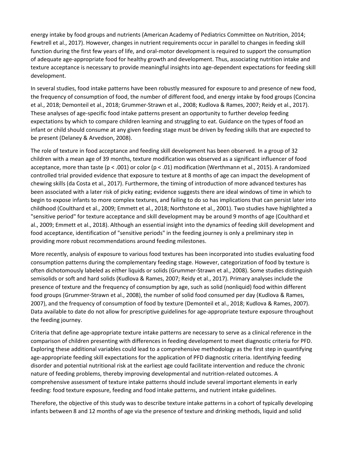energy intake by food groups and nutrients (American Academy of Pediatrics Committee on Nutrition, 2014; Fewtrell et al., 2017). However, changes in nutrient requirements occur in parallel to changes in feeding skill function during the first few years of life, and oral-motor development is required to support the consumption of adequate age-appropriate food for healthy growth and development. Thus, associating nutrition intake and texture acceptance is necessary to provide meaningful insights into age-dependent expectations for feeding skill development.

In several studies, food intake patterns have been robustly measured for exposure to and presence of new food, the frequency of consumption of food, the number of different food, and energy intake by food groups (Concina et al., 2018; Demonteil et al., 2018; Grummer-Strawn et al., 2008; Kudlova & Rames, 2007; Reidy et al., 2017). These analyses of age-specific food intake patterns present an opportunity to further develop feeding expectations by which to compare children learning and struggling to eat. Guidance on the types of food an infant or child should consume at any given feeding stage must be driven by feeding skills that are expected to be present (Delaney & Arvedson, 2008).

The role of texture in food acceptance and feeding skill development has been observed. In a group of 32 children with a mean age of 39 months, texture modification was observed as a significant influencer of food acceptance, more than taste (p < .001) or color (p < .01) modification (Werthmann et al., 2015). A randomized controlled trial provided evidence that exposure to texture at 8 months of age can impact the development of chewing skills (da Costa et al., 2017). Furthermore, the timing of introduction of more advanced textures has been associated with a later risk of picky eating; evidence suggests there are ideal windows of time in which to begin to expose infants to more complex textures, and failing to do so has implications that can persist later into childhood (Coulthard et al., 2009; Emmett et al., 2018; Northstone et al., 2001). Two studies have highlighted a "sensitive period" for texture acceptance and skill development may be around 9 months of age (Coulthard et al., 2009; Emmett et al., 2018). Although an essential insight into the dynamics of feeding skill development and food acceptance, identification of "sensitive periods" in the feeding journey is only a preliminary step in providing more robust recommendations around feeding milestones.

More recently, analysis of exposure to various food textures has been incorporated into studies evaluating food consumption patterns during the complementary feeding stage. However, categorization of food by texture is often dichotomously labeled as either liquids or solids (Grummer-Strawn et al., 2008). Some studies distinguish semisolids or soft and hard solids (Kudlova & Rames, 2007; Reidy et al., 2017). Primary analyses include the presence of texture and the frequency of consumption by age, such as solid (nonliquid) food within different food groups (Grummer-Strawn et al., 2008), the number of solid food consumed per day (Kudlova & Rames, 2007), and the frequency of consumption of food by texture (Demonteil et al., 2018; Kudlova & Rames, 2007). Data available to date do not allow for prescriptive guidelines for age-appropriate texture exposure throughout the feeding journey.

Criteria that define age-appropriate texture intake patterns are necessary to serve as a clinical reference in the comparison of children presenting with differences in feeding development to meet diagnostic criteria for PFD. Exploring these additional variables could lead to a comprehensive methodology as the first step in quantifying age-appropriate feeding skill expectations for the application of PFD diagnostic criteria. Identifying feeding disorder and potential nutritional risk at the earliest age could facilitate intervention and reduce the chronic nature of feeding problems, thereby improving developmental and nutrition-related outcomes. A comprehensive assessment of texture intake patterns should include several important elements in early feeding: food texture exposure, feeding and food intake patterns, and nutrient intake guidelines.

Therefore, the objective of this study was to describe texture intake patterns in a cohort of typically developing infants between 8 and 12 months of age via the presence of texture and drinking methods, liquid and solid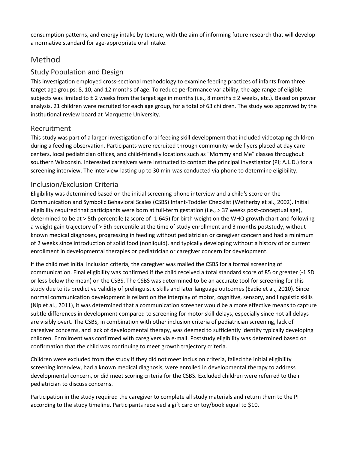consumption patterns, and energy intake by texture, with the aim of informing future research that will develop a normative standard for age-appropriate oral intake.

# Method

## Study Population and Design

This investigation employed cross-sectional methodology to examine feeding practices of infants from three target age groups: 8, 10, and 12 months of age. To reduce performance variability, the age range of eligible subjects was limited to  $\pm$  2 weeks from the target age in months (i.e., 8 months  $\pm$  2 weeks, etc.). Based on power analysis, 21 children were recruited for each age group, for a total of 63 children. The study was approved by the institutional review board at Marquette University.

## Recruitment

This study was part of a larger investigation of oral feeding skill development that included videotaping children during a feeding observation. Participants were recruited through community-wide flyers placed at day care centers, local pediatrician offices, and child-friendly locations such as "Mommy and Me" classes throughout southern Wisconsin. Interested caregivers were instructed to contact the principal investigator (PI; A.L.D.) for a screening interview. The interview-lasting up to 30 min-was conducted via phone to determine eligibility.

## Inclusion/Exclusion Criteria

Eligibility was determined based on the initial screening phone interview and a child's score on the Communication and Symbolic Behavioral Scales (CSBS) Infant-Toddler Checklist (Wetherby et al., 2002). Initial eligibility required that participants were born at full-term gestation (i.e., > 37 weeks post-conceptual age), determined to be at > 5th percentile (z score of -1.645) for birth weight on the WHO growth chart and following a weight gain trajectory of > 5th percentile at the time of study enrollment and 3 months poststudy, without known medical diagnoses, progressing in feeding without pediatrician or caregiver concern and had a minimum of 2 weeks since introduction of solid food (nonliquid), and typically developing without a history of or current enrollment in developmental therapies or pediatrician or caregiver concern for development.

If the child met initial inclusion criteria, the caregiver was mailed the CSBS for a formal screening of communication. Final eligibility was confirmed if the child received a total standard score of 85 or greater (-1 SD or less below the mean) on the CSBS. The CSBS was determined to be an accurate tool for screening for this study due to its predictive validity of prelinguistic skills and later language outcomes (Eadie et al., 2010). Since normal communication development is reliant on the interplay of motor, cognitive, sensory, and linguistic skills (Nip et al., 2011), it was determined that a communication screener would be a more effective means to capture subtle differences in development compared to screening for motor skill delays, especially since not all delays are visibly overt. The CSBS, in combination with other inclusion criteria of pediatrician screening, lack of caregiver concerns, and lack of developmental therapy, was deemed to sufficiently identify typically developing children. Enrollment was confirmed with caregivers via e-mail. Poststudy eligibility was determined based on confirmation that the child was continuing to meet growth trajectory criteria.

Children were excluded from the study if they did not meet inclusion criteria, failed the initial eligibility screening interview, had a known medical diagnosis, were enrolled in developmental therapy to address developmental concern, or did meet scoring criteria for the CSBS. Excluded children were referred to their pediatrician to discuss concerns.

Participation in the study required the caregiver to complete all study materials and return them to the PI according to the study timeline. Participants received a gift card or toy/book equal to \$10.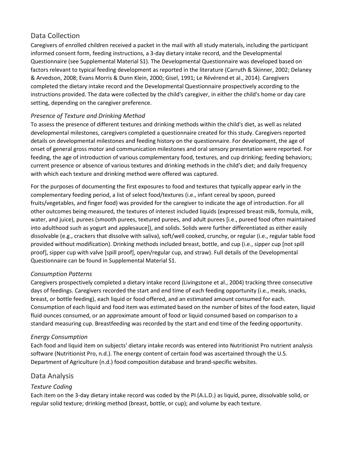## Data Collection

Caregivers of enrolled children received a packet in the mail with all study materials, including the participant informed consent form, feeding instructions, a 3-day dietary intake record, and the Developmental Questionnaire (see Supplemental Material S1). The Developmental Questionnaire was developed based on factors relevant to typical feeding development as reported in the literature (Carruth & Skinner, 2002; Delaney & Arvedson, 2008; Evans Morris & Dunn Klein, 2000; Gisel, 1991; Le Révérend et al., 2014). Caregivers completed the dietary intake record and the Developmental Questionnaire prospectively according to the instructions provided. The data were collected by the child's caregiver, in either the child's home or day care setting, depending on the caregiver preference.

#### *Presence of Texture and Drinking Method*

To assess the presence of different textures and drinking methods within the child's diet, as well as related developmental milestones, caregivers completed a questionnaire created for this study. Caregivers reported details on developmental milestones and feeding history on the questionnaire. For development, the age of onset of general gross motor and communication milestones and oral sensory presentation were reported. For feeding, the age of introduction of various complementary food, textures, and cup drinking; feeding behaviors; current presence or absence of various textures and drinking methods in the child's diet; and daily frequency with which each texture and drinking method were offered was captured.

For the purposes of documenting the first exposures to food and textures that typically appear early in the complementary feeding period, a list of select food/textures (i.e., infant cereal by spoon, pureed fruits/vegetables, and finger food) was provided for the caregiver to indicate the age of introduction. For all other outcomes being measured, the textures of interest included liquids (expressed breast milk, formula, milk, water, and juice), purees (smooth purees, textured purees, and adult purees [i.e., pureed food often maintained into adulthood such as yogurt and applesauce]), and solids. Solids were further differentiated as either easily dissolvable (e.g., crackers that dissolve with saliva), soft/well cooked, crunchy, or regular (i.e., regular table food provided without modification). Drinking methods included breast, bottle, and cup (i.e., sipper cup [not spill proof], sipper cup with valve [spill proof], open/regular cup, and straw). Full details of the Developmental Questionnaire can be found in Supplemental Material S1.

#### *Consumption Patterns*

Caregivers prospectively completed a dietary intake record (Livingstone et al., 2004) tracking three consecutive days of feedings. Caregivers recorded the start and end time of each feeding opportunity (i.e., meals, snacks, breast, or bottle feeding), each liquid or food offered, and an estimated amount consumed for each. Consumption of each liquid and food item was estimated based on the number of bites of the food eaten, liquid fluid ounces consumed, or an approximate amount of food or liquid consumed based on comparison to a standard measuring cup. Breastfeeding was recorded by the start and end time of the feeding opportunity.

#### *Energy Consumption*

Each food and liquid item on subjects' dietary intake records was entered into Nutritionist Pro nutrient analysis software (Nutritionist Pro, n.d.). The energy content of certain food was ascertained through the U.S. Department of Agriculture (n.d.) food composition database and brand-specific websites.

#### Data Analysis

#### *Texture Coding*

Each item on the 3-day dietary intake record was coded by the PI (A.L.D.) as liquid, puree, dissolvable solid, or regular solid texture; drinking method (breast, bottle, or cup); and volume by each texture.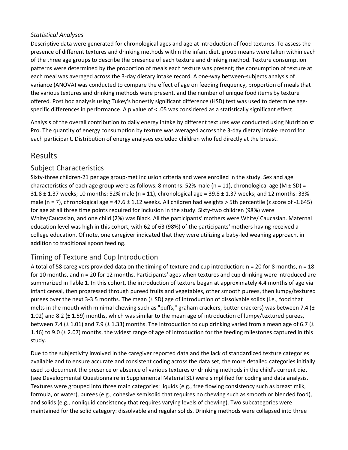#### *Statistical Analyses*

Descriptive data were generated for chronological ages and age at introduction of food textures. To assess the presence of different textures and drinking methods within the infant diet, group means were taken within each of the three age groups to describe the presence of each texture and drinking method. Texture consumption patterns were determined by the proportion of meals each texture was present; the consumption of texture at each meal was averaged across the 3-day dietary intake record. A one-way between-subjects analysis of variance (ANOVA) was conducted to compare the effect of age on feeding frequency, proportion of meals that the various textures and drinking methods were present, and the number of unique food items by texture offered. Post hoc analysis using Tukey's honestly significant difference (HSD) test was used to determine agespecific differences in performance. A p value of < .05 was considered as a statistically significant effect.

Analysis of the overall contribution to daily energy intake by different textures was conducted using Nutritionist Pro. The quantity of energy consumption by texture was averaged across the 3-day dietary intake record for each participant. Distribution of energy analyses excluded children who fed directly at the breast.

# Results

#### Subject Characteristics

Sixty-three children-21 per age group-met inclusion criteria and were enrolled in the study. Sex and age characteristics of each age group were as follows: 8 months: 52% male (n = 11), chronological age (M  $\pm$  SD) =  $31.8 \pm 1.37$  weeks; 10 months: 52% male (n = 11), chronological age = 39.8  $\pm$  1.37 weeks; and 12 months: 33% male (n = 7), chronological age = 47.6  $\pm$  1.12 weeks. All children had weights > 5th percentile (z score of -1.645) for age at all three time points required for inclusion in the study. Sixty-two children (98%) were White/Caucasian, and one child (2%) was Black. All the participants' mothers were White/ Caucasian. Maternal education level was high in this cohort, with 62 of 63 (98%) of the participants' mothers having received a college education. Of note, one caregiver indicated that they were utilizing a baby-led weaning approach, in addition to traditional spoon feeding.

## Timing of Texture and Cup Introduction

A total of 58 caregivers provided data on the timing of texture and cup introduction:  $n = 20$  for 8 months,  $n = 18$ for 10 months, and n = 20 for 12 months. Participants' ages when textures and cup drinking were introduced are summarized in Table 1. In this cohort, the introduction of texture began at approximately 4.4 months of age via infant cereal, then progressed through pureed fruits and vegetables, other smooth purees, then lumpy/textured purees over the next 3-3.5 months. The mean (± SD) age of introduction of dissolvable solids (i.e., food that melts in the mouth with minimal chewing such as "puffs," graham crackers, butter crackers) was between 7.4 ( $\pm$ 1.02) and 8.2 (± 1.59) months, which was similar to the mean age of introduction of lumpy/textured purees, between 7.4 ( $\pm$  1.01) and 7.9 ( $\pm$  1.33) months. The introduction to cup drinking varied from a mean age of 6.7 ( $\pm$ 1.46) to 9.0 ( $\pm$  2.07) months, the widest range of age of introduction for the feeding milestones captured in this study.

Due to the subjectivity involved in the caregiver reported data and the lack of standardized texture categories available and to ensure accurate and consistent coding across the data set, the more detailed categories initially used to document the presence or absence of various textures or drinking methods in the child's current diet (see Developmental Questionnaire in Supplemental Material S1) were simplified for coding and data analysis. Textures were grouped into three main categories: liquids (e.g., free flowing consistency such as breast milk, formula, or water), purees (e.g., cohesive semisolid that requires no chewing such as smooth or blended food), and solids (e.g., nonliquid consistency that requires varying levels of chewing). Two subcategories were maintained for the solid category: dissolvable and regular solids. Drinking methods were collapsed into three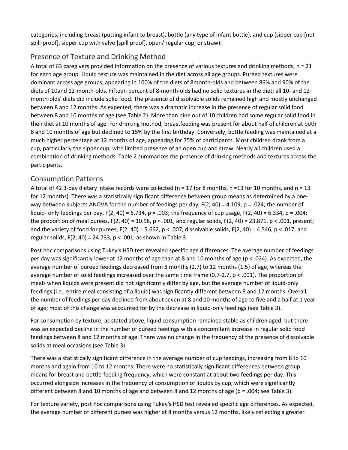categories, including breast (putting infant to breast), bottle (any type of infant bottle), and cup (sipper cup [not spill-proof], sipper cup with valve [spill proof], open/ regular cup, or straw).

# Presence of Texture and Drinking Method

A total of 63 caregivers provided information on the presence of various textures and drinking methods, n = 21 for each age group. Liquid texture was maintained in the diet across all age groups. Pureed textures were dominant across age groups, appearing in 100% of the diets of 8month-olds and between 86% and 90% of the diets of 10and 12-month-olds. Fifteen percent of 8-month-olds had no solid textures in the diet; all 10- and 12 month-olds' diets did include solid food. The presence of dissolvable solids remained high and mostly unchanged between 8 and 12 months. As expected, there was a dramatic increase in the presence of regular solid food between 8 and 10 months of age (see Table 2). More than nine out of 10 children had some regular solid food in their diet at 10 months of age. For drinking method, breastfeeding was present for about half of children at both 8 and 10 months of age but declined to 15% by the first birthday. Conversely, bottle feeding was maintained at a much higher percentage at 12 months of age, appearing for 75% of participants. Most children drank from a cup, particularly the sipper cup, with limited presence of an open cup and straw. Nearly all children used a combination of drinking methods. Table 2 summarizes the presence of drinking methods and textures across the participants.

## Consumption Patterns

A total of 42 3-day dietary intake records were collected ( $n = 17$  for 8 months,  $n = 13$  for 10 months, and  $n = 13$ for 12 months). There was a statistically significant difference between group means as determined by a oneway between-subjects ANOVA for the number of feedings per day,  $F(2, 40) = 4.109$ ,  $p = .024$ ; the number of liquid- only feedings per day,  $F(2, 40) = 6.734$ ,  $p = .003$ ; the frequency of cup usage,  $F(2, 40) = 6.334$ ,  $p = .004$ ; the proportion of meal purees,  $F(2, 40) = 10.98$ ,  $p < .001$ , and regular solids,  $F(2, 40) = 23.871$ ,  $p < .001$ , present; and the variety of food for purees,  $F(2, 40) = 5.662$ ,  $p < .007$ , dissolvable solids,  $F(2, 40) = 4.546$ ,  $p < .017$ , and regular solids, F(2, 40) = 24.733, p < .001, as shown in Table 3.

Post hoc comparisons using Tukey's HSD test revealed specific age differences. The average number of feedings per day was significantly lower at 12 months of age than at 8 and 10 months of age (p < .024). As expected, the average number of pureed feedings decreased from 8 months (2.7) to 12 months (1.5) of age, whereas the average number of solid feedings increased over the same time frame (0.7-2.7, p < .001). The proportion of meals when liquids were present did not significantly differ by age, but the average number of liquid-only feedings (i.e., entire meal consisting of a liquid) was significantly different between 8 and 12 months. Overall, the number of feedings per day declined from about seven at 8 and 10 months of age to five and a half at 1 year of age; most of this change was accounted for by the decrease in liquid-only feedings (see Table 3).

For consumption by texture, as stated above, liquid consumption remained stable as children aged, but there was an expected decline in the number of pureed feedings with a concomitant increase in regular solid food feedings between 8 and 12 months of age. There was no change in the frequency of the presence of dissolvable solids at meal occasions (see Table 3).

There was a statistically significant difference in the average number of cup feedings, increasing from 8 to 10 months and again from 10 to 12 months. There were no statistically significant differences between group means for breast and bottle-feeding frequency, which were constant at about two feedings per day. This occurred alongside increases in the frequency of consumption of liquids by cup, which were significantly different between 8 and 10 months of age and between 8 and 12 months of age (p = .004; see Table 3).

For texture variety, post hoc comparisons using Tukey's HSD test revealed specific age differences. As expected, the average number of different purees was higher at 8 months versus 12 months, likely reflecting a greater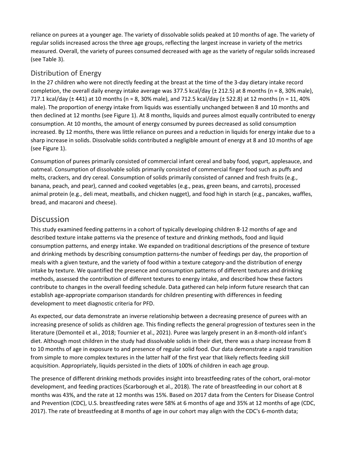reliance on purees at a younger age. The variety of dissolvable solids peaked at 10 months of age. The variety of regular solids increased across the three age groups, reflecting the largest increase in variety of the metrics measured. Overall, the variety of purees consumed decreased with age as the variety of regular solids increased (see Table 3).

#### Distribution of Energy

In the 27 children who were not directly feeding at the breast at the time of the 3-day dietary intake record completion, the overall daily energy intake average was 377.5 kcal/day (± 212.5) at 8 months (n = 8, 30% male), 717.1 kcal/day (± 441) at 10 months (n = 8, 30% male), and 712.5 kcal/day (± 522.8) at 12 months (n = 11, 40% male). The proportion of energy intake from liquids was essentially unchanged between 8 and 10 months and then declined at 12 months (see Figure 1). At 8 months, liquids and purees almost equally contributed to energy consumption. At 10 months, the amount of energy consumed by purees decreased as solid consumption increased. By 12 months, there was little reliance on purees and a reduction in liquids for energy intake due to a sharp increase in solids. Dissolvable solids contributed a negligible amount of energy at 8 and 10 months of age (see Figure 1).

Consumption of purees primarily consisted of commercial infant cereal and baby food, yogurt, applesauce, and oatmeal. Consumption of dissolvable solids primarily consisted of commercial finger food such as puffs and melts, crackers, and dry cereal. Consumption of solids primarily consisted of canned and fresh fruits (e.g., banana, peach, and pear), canned and cooked vegetables (e.g., peas, green beans, and carrots), processed animal protein (e.g., deli meat, meatballs, and chicken nugget), and food high in starch (e.g., pancakes, waffles, bread, and macaroni and cheese).

# **Discussion**

This study examined feeding patterns in a cohort of typically developing children 8-12 months of age and described texture intake patterns via the presence of texture and drinking methods, food and liquid consumption patterns, and energy intake. We expanded on traditional descriptions of the presence of texture and drinking methods by describing consumption patterns-the number of feedings per day, the proportion of meals with a given texture, and the variety of food within a texture category-and the distribution of energy intake by texture. We quantified the presence and consumption patterns of different textures and drinking methods, assessed the contribution of different textures to energy intake, and described how these factors contribute to changes in the overall feeding schedule. Data gathered can help inform future research that can establish age-appropriate comparison standards for children presenting with differences in feeding development to meet diagnostic criteria for PFD.

As expected, our data demonstrate an inverse relationship between a decreasing presence of purees with an increasing presence of solids as children age. This finding reflects the general progression of textures seen in the literature (Demonteil et al., 2018; Tournier et al., 2021). Puree was largely present in an 8-month-old infant's diet. Although most children in the study had dissolvable solids in their diet, there was a sharp increase from 8 to 10 months of age in exposure to and presence of regular solid food. Our data demonstrate a rapid transition from simple to more complex textures in the latter half of the first year that likely reflects feeding skill acquisition. Appropriately, liquids persisted in the diets of 100% of children in each age group.

The presence of different drinking methods provides insight into breastfeeding rates of the cohort, oral-motor development, and feeding practices (Scarborough et al., 2018). The rate of breastfeeding in our cohort at 8 months was 43%, and the rate at 12 months was 15%. Based on 2017 data from the Centers for Disease Control and Prevention (CDC), U.S. breastfeeding rates were 58% at 6 months of age and 35% at 12 months of age (CDC, 2017). The rate of breastfeeding at 8 months of age in our cohort may align with the CDC's 6-month data;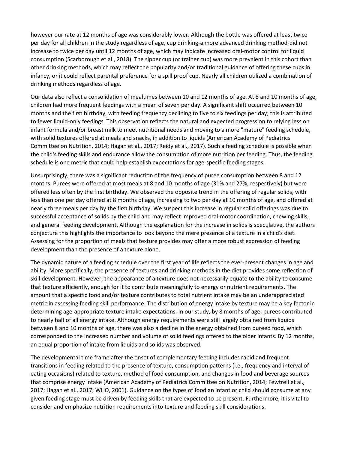however our rate at 12 months of age was considerably lower. Although the bottle was offered at least twice per day for all children in the study regardless of age, cup drinking-a more advanced drinking method-did not increase to twice per day until 12 months of age, which may indicate increased oral-motor control for liquid consumption (Scarborough et al., 2018). The sipper cup (or trainer cup) was more prevalent in this cohort than other drinking methods, which may reflect the popularity and/or traditional guidance of offering these cups in infancy, or it could reflect parental preference for a spill proof cup. Nearly all children utilized a combination of drinking methods regardless of age.

Our data also reflect a consolidation of mealtimes between 10 and 12 months of age. At 8 and 10 months of age, children had more frequent feedings with a mean of seven per day. A significant shift occurred between 10 months and the first birthday, with feeding frequency declining to five to six feedings per day; this is attributed to fewer liquid-only feedings. This observation reflects the natural and expected progression to relying less on infant formula and/or breast milk to meet nutritional needs and moving to a more "mature" feeding schedule, with solid textures offered at meals and snacks, in addition to liquids (American Academy of Pediatrics Committee on Nutrition, 2014; Hagan et al., 2017; Reidy et al., 2017). Such a feeding schedule is possible when the child's feeding skills and endurance allow the consumption of more nutrition per feeding. Thus, the feeding schedule is one metric that could help establish expectations for age-specific feeding stages.

Unsurprisingly, there was a significant reduction of the frequency of puree consumption between 8 and 12 months. Purees were offered at most meals at 8 and 10 months of age (31% and 27%, respectively) but were offered less often by the first birthday. We observed the opposite trend in the offering of regular solids, with less than one per day offered at 8 months of age, increasing to two per day at 10 months of age, and offered at nearly three meals per day by the first birthday. We suspect this increase in regular solid offerings was due to successful acceptance of solids by the child and may reflect improved oral-motor coordination, chewing skills, and general feeding development. Although the explanation for the increase in solids is speculative, the authors conjecture this highlights the importance to look beyond the mere presence of a texture in a child's diet. Assessing for the proportion of meals that texture provides may offer a more robust expression of feeding development than the presence of a texture alone.

The dynamic nature of a feeding schedule over the first year of life reflects the ever-present changes in age and ability. More specifically, the presence of textures and drinking methods in the diet provides some reflection of skill development. However, the appearance of a texture does not necessarily equate to the ability to consume that texture efficiently, enough for it to contribute meaningfully to energy or nutrient requirements. The amount that a specific food and/or texture contributes to total nutrient intake may be an underappreciated metric in assessing feeding skill performance. The distribution of energy intake by texture may be a key factor in determining age-appropriate texture intake expectations. In our study, by 8 months of age, purees contributed to nearly half of all energy intake. Although energy requirements were still largely obtained from liquids between 8 and 10 months of age, there was also a decline in the energy obtained from pureed food, which corresponded to the increased number and volume of solid feedings offered to the older infants. By 12 months, an equal proportion of intake from liquids and solids was observed.

The developmental time frame after the onset of complementary feeding includes rapid and frequent transitions in feeding related to the presence of texture, consumption patterns (i.e., frequency and interval of eating occasions) related to texture, method of food consumption, and changes in food and beverage sources that comprise energy intake (American Academy of Pediatrics Committee on Nutrition, 2014; Fewtrell et al., 2017; Hagan et al., 2017; WHO, 2001). Guidance on the types of food an infant or child should consume at any given feeding stage must be driven by feeding skills that are expected to be present. Furthermore, it is vital to consider and emphasize nutrition requirements into texture and feeding skill considerations.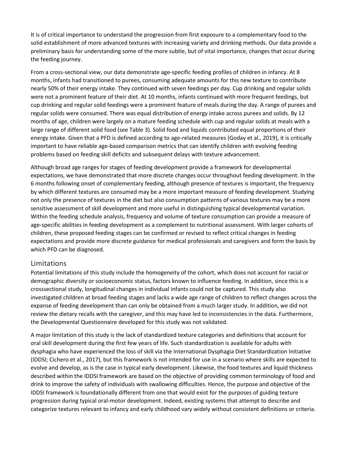It is of critical importance to understand the progression from first exposure to a complementary food to the solid establishment of more advanced textures with increasing variety and drinking methods. Our data provide a preliminary basis for understanding some of the more subtle, but of vital importance, changes that occur during the feeding journey.

From a cross-sectional view, our data demonstrate age-specific feeding profiles of children in infancy. At 8 months, infants had transitioned to purees, consuming adequate amounts for this new texture to contribute nearly 50% of their energy intake. They continued with seven feedings per day. Cup drinking and regular solids were not a prominent feature of their diet. At 10 months, infants continued with more frequent feedings, but cup drinking and regular solid feedings were a prominent feature of meals during the day. A range of purees and regular solids were consumed. There was equal distribution of energy intake across purees and solids. By 12 months of age, children were largely on a mature feeding schedule with cup and regular solids at meals with a large range of different solid food (see Table 3). Solid food and liquids contributed equal proportions of their energy intake. Given that a PFD is defined according to age-related measures (Goday et al., 2019), it is critically important to have reliable age-based comparison metrics that can identify children with evolving feeding problems based on feeding skill deficits and subsequent delays with texture advancement.

Although broad age ranges for stages of feeding development provide a framework for developmental expectations, we have demonstrated that more discrete changes occur throughout feeding development. In the 6 months following onset of complementary feeding, although presence of textures is important, the frequency by which different textures are consumed may be a more important measure of feeding development. Studying not only the presence of textures in the diet but also consumption patterns of various textures may be a more sensitive assessment of skill development and more useful in distinguishing typical developmental variation. Within the feeding schedule analysis, frequency and volume of texture consumption can provide a measure of age-specific abilities in feeding development as a complement to nutritional assessment. With larger cohorts of children, these proposed feeding stages can be confirmed or revised to reflect critical changes in feeding expectations and provide more discrete guidance for medical professionals and caregivers and form the basis by which PFD can be diagnosed.

#### Limitations

Potential limitations of this study include the homogeneity of the cohort, which does not account for racial or demographic diversity or socioeconomic status, factors known to influence feeding. In addition, since this is a crosssectional study, longitudinal changes in individual infants could not be captured. This study also investigated children at broad feeding stages and lacks a wide age range of children to reflect changes across the expanse of feeding development than can only be obtained from a much larger study. In addition, we did not review the dietary recalls with the caregiver, and this may have led to inconsistencies in the data. Furthermore, the Developmental Questionnaire developed for this study was not validated.

A major limitation of this study is the lack of standardized texture categories and definitions that account for oral skill development during the first few years of life. Such standardization is available for adults with dysphagia who have experienced the loss of skill via the International Dysphagia Diet Standardization Initiative (IDDSI; Cichero et al., 2017), but this framework is not intended for use in a scenario where skills are expected to evolve and develop, as is the case in typical early development. Likewise, the food textures and liquid thickness described within the IDDSI framework are based on the objective of providing common terminology of food and drink to improve the safety of individuals with swallowing difficulties. Hence, the purpose and objective of the IDDSI framework is foundationally different from one that would exist for the purposes of guiding texture progression during typical oral-motor development. Indeed, existing systems that attempt to describe and categorize textures relevant to infancy and early childhood vary widely without consistent definitions or criteria.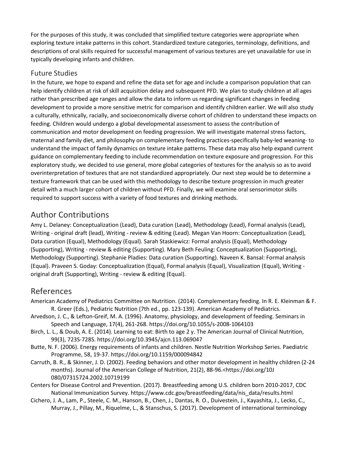For the purposes of this study, it was concluded that simplified texture categories were appropriate when exploring texture intake patterns in this cohort. Standardized texture categories, terminology, definitions, and descriptions of oral skills required for successful management of various textures are yet unavailable for use in typically developing infants and children.

#### Future Studies

In the future, we hope to expand and refine the data set for age and include a comparison population that can help identify children at risk of skill acquisition delay and subsequent PFD. We plan to study children at all ages rather than prescribed age ranges and allow the data to inform us regarding significant changes in feeding development to provide a more sensitive metric for comparison and identify children earlier. We will also study a culturally, ethnically, racially, and socioeconomically diverse cohort of children to understand these impacts on feeding. Children would undergo a global developmental assessment to assess the contribution of communication and motor development on feeding progression. We will investigate maternal stress factors, maternal and family diet, and philosophy on complementary feeding practices-specifically baby-led weaning- to understand the impact of family dynamics on texture intake patterns. These data may also help expand current guidance on complementary feeding to include recommendation on texture exposure and progression. For this exploratory study, we decided to use general, more global categories of textures for the analysis so as to avoid overinterpretation of textures that are not standardized appropriately. Our next step would be to determine a texture framework that can be used with this methodology to describe texture progression in much greater detail with a much larger cohort of children without PFD. Finally, we will examine oral sensorimotor skills required to support success with a variety of food textures and drinking methods.

# Author Contributions

Amy L. Delaney: Conceptualization (Lead), Data curation (Lead), Methodology (Lead), Formal analysis (Lead), Writing - original draft (lead), Writing - review & editing (Lead). Megan Van Hoorn: Conceptualization (Lead), Data curation (Equal), Methodology (Equal). Sarah Staskiewicz: Formal analysis (Equal), Methodology (Supporting), Writing - review & editing (Supporting). Mary Beth Feuling: Conceptualization (Supporting), Methodology (Supporting). Stephanie Pladies: Data curation (Supporting). Naveen K. Bansal: Formal analysis (Equal). Praveen S. Goday: Conceptualization (Equal), Formal analysis (Equal), Visualization (Equal), Writing original draft (Supporting), Writing - review & editing (Equal).

# References

American Academy of Pediatrics Committee on Nutrition. (2014). Complementary feeding. In R. E. Kleinman & F. R. Greer (Eds.), Pediatric Nutrition (7th ed., pp. 123-139). American Academy of Pediatrics.

- Arvedson, J. C., & Lefton-Greif, M. A. (1996). Anatomy, physiology, and development of feeding. Seminars in Speech and Language, 17(4), 261-268. https://doi.org/10.1055/s-2008-1064103
- Birch, L. L., & Doub, A. E. (2014). Learning to eat: Birth to age 2 y. The American Journal of Clinical Nutrition, 99(3), 723S-728S. https://doi.org/10.3945/ajcn.113.069047
- Butte, N. F. (2006). Energy requirements of infants and children. Nestle Nutrition Workshop Series. Paediatric Programme, 58, 19-37. https://doi.org/10.1159/000094842
- Carruth, B. R., & Skinner, J. D. (2002). Feeding behaviors and other motor development in healthy children (2-24 months). Journal of the American College of Nutrition, 21(2), 88-96.<https://doi.org/10J 080/07315724.2002.10719199
- Centers for Disease Control and Prevention. (2017). Breastfeeding among U.S. children born 2010-2017, CDC National Immunization Survey. https://www.cdc.gov/breastfeeding/data/nis\_data/results.html
- Cichero, J. A., Lam, P., Steele, C. M., Hanson, B., Chen, J., Dantas, R. O., Duivestein, J., Kayashita, J., Lecko, C., Murray, J., Pillay, M., Riquelme, L., & Stanschus, S. (2017). Development of international terminology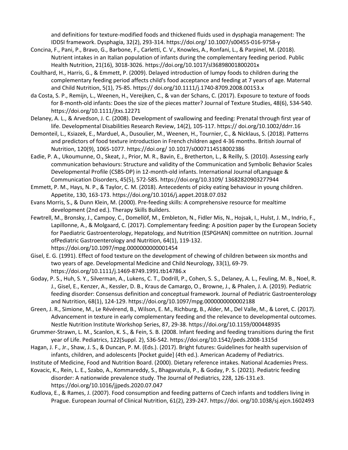and definitions for texture-modified foods and thickened fluids used in dysphagia management: The IDDSI framework. Dysphagia, 32(2), 293-314. https://doi.org/ 10.1007/s00455-016-9758-y

- Concina, F., Pani, P., Bravo, G., Barbone, F., Carletti, C. V., Knowles, A., Ronfani, L., & Parpinel, M. (2018). Nutrient intakes in an Italian population of infants during the complementary feeding period. Public Health Nutrition, 21(16), 3018-3026. https://doi.org/10.1017/sl36898001800201x
- Coulthard, H., Harris, G., & Emmett, P. (2009). Delayed introduction of lumpy foods to children during the complementary feeding period affects child's food acceptance and feeding at 7 years of age. Maternal and Child Nutrition, 5(1), 75-85. https:// doi.org/10.1111/j.1740-8709.2008.00153.x
- da Costa, S. P., Remijn, L., Weenen, H., Vereijken, C., & van der Schans, C. (2017). Exposure to texture of foods for 8-month-old infants: Does the size of the pieces matter? Journal of Texture Studies, 48(6), 534-540. https://doi.org/10.1111/jtxs.12271
- Delaney, A. L., & Arvedson, J. C. (2008). Development of swallowing and feeding: Prenatal through first year of life. Developmental Disabilities Research Review, 14(2), 105-117. https:// doi.org/10.1002/ddrr.16
- Demonteil, L., Ksiazek, E., Marduel, A., Dusoulier, M., Weenen, H., Tournier, C., & Nicklaus, S. (2018). Patterns and predictors of food texture introduction in French children aged 4-36 months. British Journal of Nutrition, 120(9), 1065-1077. https://doi.org/ 10.1017/s0007114518002386
- Eadie, P. A., Ukoumunne, O., Skeat, J., Prior, M. R., Bavin, E., Bretherton, L., & Reilly, S. (2010). Assessing early communication behaviours: Structure and validity of the Communication and Symbolic Behavior Scales Developmental Profile (CSBS-DP) in 12-month-old infants. International Journal ofLanguage & Communication Disorders, 45(5), 572-585. https://doi.org/10.3109/ 13682820903277944
- Emmett, P. M., Hays, N. P., & Taylor, C. M. (2018). Antecedents of picky eating behaviour in young children. Appetite, 130, 163-173. https://doi.org/10.1016/j.appet.2018.07.032
- Evans Morris, S., & Dunn Klein, M. (2000). Pre-feeding skills: A comprehensive resource for mealtime development (2nd ed.). Therapy Skills Builders.
- Fewtrell, M., Bronsky, J., Campoy, C., Domellöf, M., Embleton, N., Fidler Mis, N., Hojsak, I., Hulst, J. M., Indrio, F., Lapillonne, A., & Molgaard, C. (2017). Complementary feeding: A position paper by the European Society for Paediatric Gastroenterology, Hepatology, and Nutrition (ESPGHAN) committee on nutrition. Journal ofPediatric Gastroenterology and Nutrition, 64(1), 119-132. https://doi.org/10.1097/mpg.0000000000001454
- Gisel, E. G. (1991). Effect of food texture on the development of chewing of children between six months and two years of age. Developmental Medicine and Child Neurology, 33(1), 69-79. https://doi.org/10.1111/j.1469-8749.1991.tb14786.x
- Goday, P. S., Huh, S. Y., Silverman, A., Lukens, C. T., Dodrill, P., Cohen, S. S., Delaney, A. L., Feuling, M. B., Noel, R. J., Gisel, E., Kenzer, A., Kessler, D. B., Kraus de Camargo, O., Browne, J., & Phalen, J. A. (2019). Pediatric feeding disorder: Consensus definition and conceptual framework. Journal of Pediatric Gastroenterology and Nutrition, 68(1), 124-129. https://doi.org/10.1097/mpg.0000000000002188
- Green, J. R., Simione, M., Le Révérend, B., Wilson, E. M., Richburg, B., Alder, M., Del Valle, M., & Loret, C. (2017). Advancement in texture in early complementary feeding and the relevance to developmental outcomes. Nestle Nutrition Institute Workshop Series, 87, 29-38. https://doi.org/10.1159/000448935
- Grummer-Strawn, L. M., Scanlon, K. S., & Fein, S. B. (2008. Infant feeding and feeding transitions during the first year of Life. Pediatrics, 122(Suppl. 2), S36-S42. https://doi.org/10.1542/peds.2008-1315d
- Hagan, J. F., Jr., Shaw, J. S., & Duncan, P. M. (Eds.). (2017). Bright futures: Guidelines for health supervision of infants, children, and adolescents [Pocket guide] (4th ed.). American Academy of Pediatrics.
- Institute of Medicine, Food and Nutrition Board. (2000). Dietary reference intakes. National Academies Press.
- Kovacic, K., Rein, L. E., Szabo, A., Kommareddy, S., Bhagavatula, P., & Goday, P. S. (2021). Pediatric feeding disorder: A nationwide prevalence study. The Journal of Pediatrics, 228, 126-131.e3. https://doi.org/10.1016/jjpeds.2020.07.047
- Kudlova, E., & Rames, J. (2007). Food consumption and feeding patterns of Czech infants and toddlers living in Prague. European Journal of Clinical Nutrition, 61(2), 239-247. https://doi. org/10.1038/sj.ejcn.1602493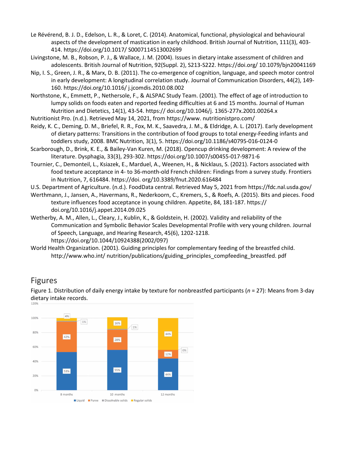- Le Révérend, B. J. D., Edelson, L. R., & Loret, C. (2014). Anatomical, functional, physiological and behavioural aspects of the development of mastication in early childhood. British Journal of Nutrition, 111(3), 403- 414. https://doi.org/10.1017/ S0007114513002699
- Livingstone, M. B., Robson, P. J., & Wallace, J. M. (2004). Issues in dietary intake assessment of children and adolescents. British Journal of Nutrition, 92(Suppl. 2), S213-S222. https://doi.org/ 10.1079/bjn20041169
- Nip, I. S., Green, J. R., & Marx, D. B. (2011). The co-emergence of cognition, language, and speech motor control in early development: A longitudinal correlation study. Journal of Communication Disorders, 44(2), 149- 160. https://doi.org/10.1016/ j.jcomdis.2010.08.002
- Northstone, K., Emmett, P., Nethersole, F., & ALSPAC Study Team. (2001). The effect of age of introduction to lumpy solids on foods eaten and reported feeding difficulties at 6 and 15 months. Journal of Human Nutrition and Dietetics, 14(1), 43-54. https:// doi.org/10.1046/j. 1365-277x.2001.00264.x
- Nutritionist Pro. (n.d.). Retrieved May 14, 2021, from https://www. nutritionistpro.com/
- Reidy, K. C., Deming, D. M., Briefel, R. R., Fox, M. K., Saavedra, J. M., & Eldridge, A. L. (2017). Early development of dietary patterns: Transitions in the contribution of food groups to total energy-Feeding infants and toddlers study, 2008. BMC Nutrition, 3(1), 5. https://doi.org/10.1186/s40795-016-0124-0
- Scarborough, D., Brink, K. E., & Bailey-Van Kuren, M. (2018). Opencup drinking development: A review of the literature. Dysphagia, 33(3), 293-302. https://doi.org/10.1007/s00455-017-9871-6
- Tournier, C., Demonteil, L., Ksiazek, E., Marduel, A., Weenen, H., & Nicklaus, S. (2021). Factors associated with food texture acceptance in 4- to 36-month-old French children: Findings from a survey study. Frontiers in Nutrition, 7, 616484. https://doi. org/10.3389/fnut.2020.616484

U.S. Department of Agriculture. (n.d.). FoodData central. Retrieved May 5, 2021 from https://fdc.nal.usda.gov/

- Werthmann, J., Jansen, A., Havermans, R., Nederkoorn, C., Kremers, S., & Roefs, A. (2015). Bits and pieces. Food texture influences food acceptance in young children. Appetite, 84, 181-187. https:// doi.org/10.1016/j.appet.2014.09.025
- Wetherby, A. M., Allen, L., Cleary, J., Kublin, K., & Goldstein, H. (2002). Validity and reliability of the Communication and Symbolic Behavior Scales Developmental Profile with very young children. Journal of Speech, Language, and Hearing Research, 45(6), 1202-1218. https://doi.org/10.1044/10924388(2002/097)
- World Health Organization. (2001). Guiding principles for complementary feeding of the breastfed child. http://www.who.int/ nutrition/publications/guiding\_principles\_compfeeding\_breastfed. pdf

# Figures

Figure 1. Distribution of daily energy intake by texture for nonbreastfed participants (*n* = 27): Means from 3-day dietary intake records.

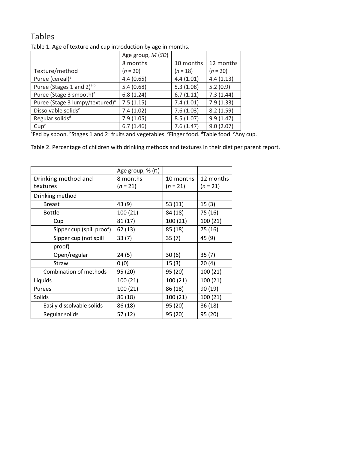# Tables

| ີ                                           |                   |            |            |
|---------------------------------------------|-------------------|------------|------------|
|                                             | Age group, M (SD) |            |            |
|                                             | 8 months          | 10 months  | 12 months  |
| Texture/method                              | $(n = 20)$        | $(n = 18)$ | $(n = 20)$ |
| Puree (cereal) <sup>a</sup>                 | 4.4(0.65)         | 4.4(1.01)  | 4.4(1.13)  |
| Puree (Stages 1 and 2) <sup>a,b</sup>       | 5.4(0.68)         | 5.3(1.08)  | 5.2(0.9)   |
| Puree (Stage 3 smooth) <sup>a</sup>         | 6.8(1.24)         | 6.7(1.11)  | 7.3(1.44)  |
| Puree (Stage 3 lumpy/textured) <sup>a</sup> | 7.5(1.15)         | 7.4(1.01)  | 7.9(1.33)  |
| Dissolvable solids <sup>c</sup>             | 7.4(1.02)         | 7.6(1.03)  | 8.2(1.59)  |
| Regular solids <sup>d</sup>                 | 7.9(1.05)         | 8.5(1.07)  | 9.9(1.47)  |
| Cup <sup>e</sup>                            | 6.7(1.46)         | 7.6(1.47)  | 9.0(2.07)  |
|                                             |                   |            |            |

Table 1. Age of texture and cup introduction by age in months.

<sup>a</sup>Fed by spoon. <sup>b</sup>Stages 1 and 2: fruits and vegetables. <sup>c</sup>Finger food. <sup>d</sup>Table food. <sup>e</sup>Any cup.

Table 2. Percentage of children with drinking methods and textures in their diet per parent report.

|                           | Age group, % (n) |            |           |  |
|---------------------------|------------------|------------|-----------|--|
| Drinking method and       | 8 months         | 10 months  | 12 months |  |
| textures                  | $(n = 21)$       | $(n = 21)$ |           |  |
| Drinking method           |                  |            |           |  |
| <b>Breast</b>             | 43 (9)           | 53(11)     | 15(3)     |  |
| <b>Bottle</b>             | 100 (21)         | 84 (18)    | 75 (16)   |  |
| Cup                       | 81(17)           | 100 (21)   | 100 (21)  |  |
| Sipper cup (spill proof)  | 62 (13)          | 85 (18)    | 75 (16)   |  |
| Sipper cup (not spill     | 33(7)            | 35(7)      | 45 (9)    |  |
| proof)                    |                  |            |           |  |
| Open/regular              | 24(5)            | 30(6)      | 35(7)     |  |
| <b>Straw</b>              | 0(0)             | 15(3)      | 20(4)     |  |
| Combination of methods    | 95 (20)          | 95 (20)    | 100 (21)  |  |
| Liquids                   | 100 (21)         | 100 (21)   | 100 (21)  |  |
| Purees                    | 100 (21)         | 86 (18)    | 90 (19)   |  |
| Solids                    | 86 (18)          | 100 (21)   | 100 (21)  |  |
| Easily dissolvable solids | 86 (18)          | 95 (20)    | 86 (18)   |  |
| Regular solids            | 57(12)           | 95 (20)    | 95 (20)   |  |